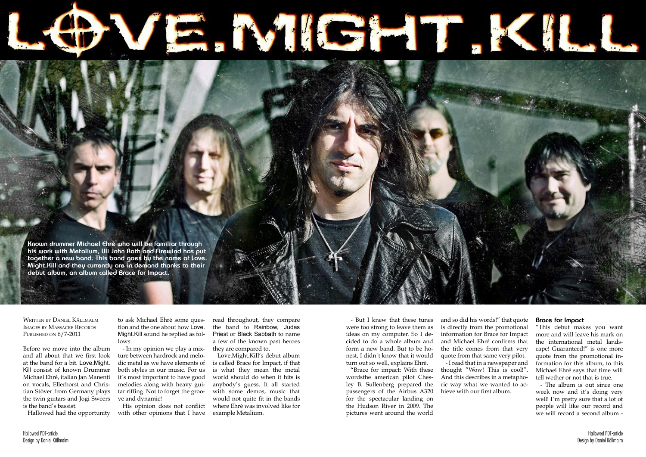Written by Daniel Källmalm Images by Massacre Records PUBLISHED ON  $6/7$ -2011



His opinion does not conflict with other opinions that I have

Before we move into the album and all about that we first look at the band for a bit. Love.Might. Kill consist of known Drummer Michael Ehré, italian Jan Manenti on vocals, Ellerhorst and Christian Stöver from Germany plays the twin guitars and Jogi Sweers is the band's bassist.

Hallowed had the opportunity

to ask Michael Ehré some question and the one about how Love. Might.Kill sound he replied as follows:

- In my opinion we play a mixture between hardrock and melodic metal as we have elements of both styles in our music. For us it´s most important to have good melodies along with heavy guitar riffing. Not to forget the groove and dynamic!

read throughout, they compare the band to Rainbow, Judas Priest or Black Sabbath to name a few of the known past heroes they are compared to.

Love.Might.Kill's debut album is called Brace for Impact, if that is what they mean the metal world should do when it hits is anybody's guess. It all started with some demos, music that would not quite fit in the bands where Ehré was involved like for example Metalium.

- But I knew that these tunes were too strong to leave them as ideas on my computer. So I decided to do a whole album and form a new band. But to be honest, I didn´t know that it would turn out so well, explains Ehré.

"Brace for impact: With these wordsthe american pilot Chesley B. Sullenberg prepared the passengers of the Airbus A320 for the spectacular landing on the Hudson River in 2009. The pictures went around the world

and so did his words!" that quote is directly from the promotional information for Brace for Impact and Michael Ehré confirms that the title comes from that very quote from that same very pilot. - I read that in a newspaper and thought "Wow! This is cool!". And this describes in a metaphoric way what we wanted to achieve with our first album.

## **Brace for Impact**

"This debut makes you want more and will leave his mark on the international metal landscape! Guaranteed!" is one more quote from the promotional information for this album, to this Michael Ehré says that time will tell wether or not that is true.

- The album is out since one week now and it´s doing very well! I´m pretty sure that a lot of people will like our record and we will record a second album -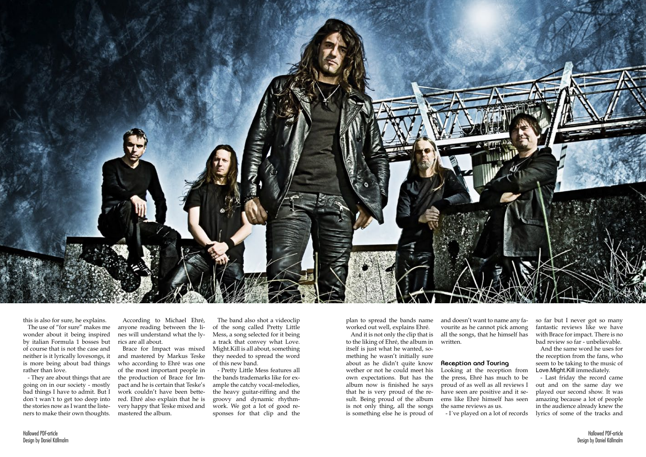

this is also for sure, he explains.

The use of "for sure" makes me wonder about it being inspired by italian Formula 1 bosses but of course that is not the case and neither is it lyrically lovesongs, it is more being about bad things rather than love.

- They are about things that are going on in our society - mostly bad things I have to admit. But I don´t wan´t to get too deep into the stories now as I want the listeners to make their own thoughts.

According to Michael Ehré, anyone reading between the lines will understand what the lyrics are all about.

Brace for Impact was mixed and mastered by Markus Teske who according to Ehré was one of the most important people in the production of Brace for Impact and he is certain that Teske's work couldn't have been bettered. Ehré also explain that he is very happy that Teske mixed and mastered the album.

The band also shot a videoclip of the song called Pretty Little Mess, a song selected for it being a track that convey what Love. Might.Kill is all about, something they needed to spread the word of this new band.

- Pretty Little Mess features all the bands trademarks like for example the catchy vocal-melodies, the heavy guitar-riffing and the groovy and dynamic rhythmwork. We got a lot of good responses for that clip and the

plan to spread the bands name worked out well, explains Ehré.

And it is not only the clip that is to the liking of Ehré, the album in itself is just what he wanted, something he wasn't initially sure about as he didn't quite know wether or not he could meet his own expectations. But has the album now is finished he says that he is very proud of the result. Being proud of the album is not only thing, all the songs is something else he is proud of

and doesn't want to name any favourite as he cannot pick among all the songs, that he himself has written.

**Reception and Touring** Looking at the reception from the press, Ehré has much to be proud of as well as all reviews I have seen are positive and it seems like Ehré himself has seen the same reviews as us. - I´ve played on a lot of records

so far but I never got so many fantastic reviews like we have with Brace for impact. There is no bad review so far - unbelievable.

And the same word he uses for the reception from the fans, who seem to be taking to the music of Love.Might.Kill immediately.

- Last friday the record came out and on the same day we played our second show. It was amazing because a lot of people in the audience already knew the lyrics of some of the tracks and